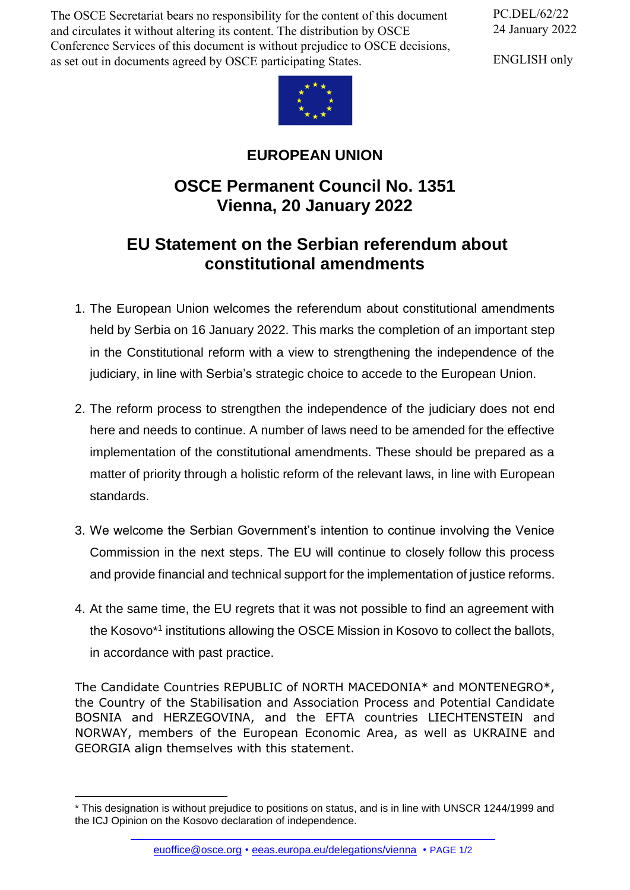The OSCE Secretariat bears no responsibility for the content of this document and circulates it without altering its content. The distribution by OSCE Conference Services of this document is without prejudice to OSCE decisions, as set out in documents agreed by OSCE participating States.

PC.DEL/62/22 24 January 2022

ENGLISH only



## **EUROPEAN UNION**

## **OSCE Permanent Council No. 1351 Vienna, 20 January 2022**

## **EU Statement on the Serbian referendum about constitutional amendments**

- 1. The European Union welcomes the referendum about constitutional amendments held by Serbia on 16 January 2022. This marks the completion of an important step in the Constitutional reform with a view to strengthening the independence of the judiciary, in line with Serbia's strategic choice to accede to the European Union.
- 2. The reform process to strengthen the independence of the judiciary does not end here and needs to continue. A number of laws need to be amended for the effective implementation of the constitutional amendments. These should be prepared as a matter of priority through a holistic reform of the relevant laws, in line with European standards.
- 3. We welcome the Serbian Government's intention to continue involving the Venice Commission in the next steps. The EU will continue to closely follow this process and provide financial and technical support for the implementation of justice reforms.
- 4. At the same time, the EU regrets that it was not possible to find an agreement with the Kosovo\*1 institutions allowing the OSCE Mission in Kosovo to collect the ballots, in accordance with past practice.

The Candidate Countries REPUBLIC of NORTH MACEDONIA\* and MONTENEGRO\*, the Country of the Stabilisation and Association Process and Potential Candidate BOSNIA and HERZEGOVINA, and the EFTA countries LIECHTENSTEIN and NORWAY, members of the European Economic Area, as well as UKRAINE and GEORGIA align themselves with this statement.

<sup>\*</sup> This designati[on is without prejudic](mailto:euoffice@osce.org)[e to positions on status, and is in line](http://eeas.europa.eu/delegations/vienna) with UNSCR 1244/1999 and the ICJ Opinion on the Kosovo declaration of independence.